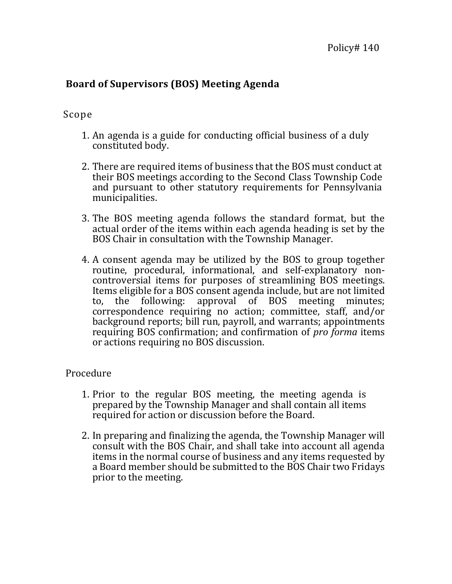## **Board of Supervisors (BOS) Meeting Agenda**

## Scope

- 1. An agenda is a guide for conducting official business of a duly constituted body.
- 2. There are required items of business that the BOS must conduct at their BOS meetings according to the Second Class Township Code and pursuant to other statutory requirements for Pennsylvania municipalities.
- 3. The BOS meeting agenda follows the standard format, but the actual order of the items within each agenda heading is set by the BOS Chair in consultation with the Township Manager.
- 4. A consent agenda may be utilized by the BOS to group together routine, procedural, informational, and self-explanatory noncontroversial items for purposes of streamlining BOS meetings. Items eligible for a BOS consent agenda include, but are not limited to, the following: approval of BOS meeting minutes; correspondence requiring no action; committee, staff, and/or background reports; bill run, payroll, and warrants; appointments requiring BOS confirmation; and confirmation of *pro forma* items or actions requiring no BOS discussion.

## Procedure

- 1. Prior to the regular BOS meeting, the meeting agenda is prepared by the Township Manager and shall contain all items required for action or discussion before the Board.
- 2. In preparing and finalizing the agenda, the Township Manager will consult with the BOS Chair, and shall take into account all agenda items in the normal course of business and any items requested by a Board member should be submitted to the BOS Chair two Fridays prior to the meeting.